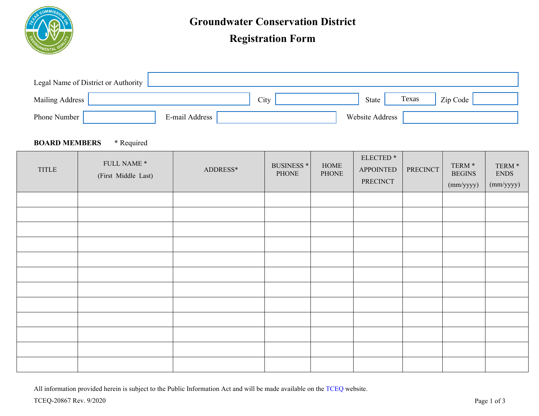

# **Registration Form**

| Legal Name of District or Authority |                |      |                 |       |          |  |
|-------------------------------------|----------------|------|-----------------|-------|----------|--|
| <b>Mailing Address</b>              |                | City | State           | Texas | Zip Code |  |
| Phone Number                        | E-mail Address |      | Website Address |       |          |  |

#### **BOARD MEMBERS** \* Required

| TITLE | FULL NAME $^\ast$<br>(First Middle Last) | ADDRESS* | <b>BUSINESS</b> *<br>PHONE | HOME<br>PHONE | ELECTED <sup>*</sup><br><b>APPOINTED</b><br>PRECINCT | PRECINCT | TERM $^\ast$<br><b>BEGINS</b><br>(mm/yyyy) | TERM $^\ast$<br><b>ENDS</b><br>(mm/yyyy) |
|-------|------------------------------------------|----------|----------------------------|---------------|------------------------------------------------------|----------|--------------------------------------------|------------------------------------------|
|       |                                          |          |                            |               |                                                      |          |                                            |                                          |
|       |                                          |          |                            |               |                                                      |          |                                            |                                          |
|       |                                          |          |                            |               |                                                      |          |                                            |                                          |
|       |                                          |          |                            |               |                                                      |          |                                            |                                          |
|       |                                          |          |                            |               |                                                      |          |                                            |                                          |
|       |                                          |          |                            |               |                                                      |          |                                            |                                          |
|       |                                          |          |                            |               |                                                      |          |                                            |                                          |
|       |                                          |          |                            |               |                                                      |          |                                            |                                          |
|       |                                          |          |                            |               |                                                      |          |                                            |                                          |
|       |                                          |          |                            |               |                                                      |          |                                            |                                          |
|       |                                          |          |                            |               |                                                      |          |                                            |                                          |
|       |                                          |          |                            |               |                                                      |          |                                            |                                          |

All information provided herein is subject to the Public Information Act and will be made available on the [TCEQ](http://www.tceq.texas.gov/) website.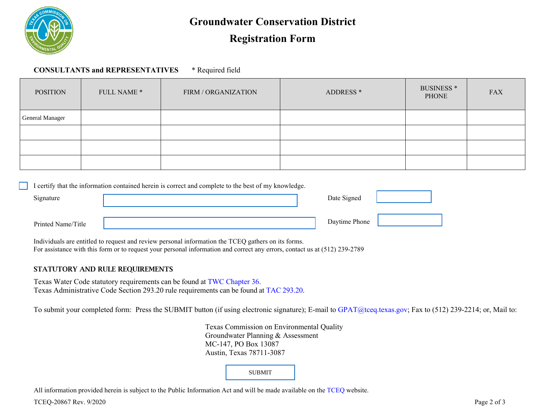

### **Groundwater Conservation District**

## **Registration Form**

**CONSULTANTS and REPRESENTATIVES** \* Required field

| <b>POSITION</b>        | FULL NAME * | FIRM / ORGANIZATION | ADDRESS <sup>*</sup> | BUSINESS <sup>*</sup><br><b>PHONE</b> | <b>FAX</b> |
|------------------------|-------------|---------------------|----------------------|---------------------------------------|------------|
| <b>General Manager</b> |             |                     |                      |                                       |            |
|                        |             |                     |                      |                                       |            |
|                        |             |                     |                      |                                       |            |
|                        |             |                     |                      |                                       |            |

|                    | I certify that the information contained herein is correct and complete to the best of my knowledge. |               |  |
|--------------------|------------------------------------------------------------------------------------------------------|---------------|--|
| Signature          |                                                                                                      | Date Signed   |  |
|                    |                                                                                                      |               |  |
| Printed Name/Title |                                                                                                      | Daytime Phone |  |

Individuals are entitled to request and review personal information the TCEQ gathers on its forms. For assistance with this form or to request your personal information and correct any errors, contact us at (512) 239-2789

#### STATUTORY AND RULE REQUIREMENTS

Texas Water Code statutory requirements can be found at [TWC Chapter 36.](https://statutes.capitol.texas.gov/Docs/WA/htm/WA.36.htm)  Texas Administrative Code Section 293.20 rule requirements can be found at [TAC 293.20.](https://texreg.sos.state.tx.us/public/readtac$ext.TacPage?sl=R&app=9&p_dir=&p_rloc=&p_tloc=&p_ploc=&pg=1&p_tac=&ti=30&pt=1&ch=293&rl=20)

To submit your completed form: Press the SUBMIT button (if using electronic signature); E-mail to GPAT[@tceq.texas.gov;](mailto:GPAT@tceq.texas.gov?subject=Groundwater Conservation District Registration Form) Fax to (512) 239-2214; or, Mail to:

Texas Commission on Environmental Quality Groundwater Planning & Assessment MC-147, PO Box 13087 Austin, Texas 78711-3087

SUBMIT

All information provided herein is subject to the Public Information Act and will be made available on the [TCEQ](http://www.tceq.texas.gov/) website.